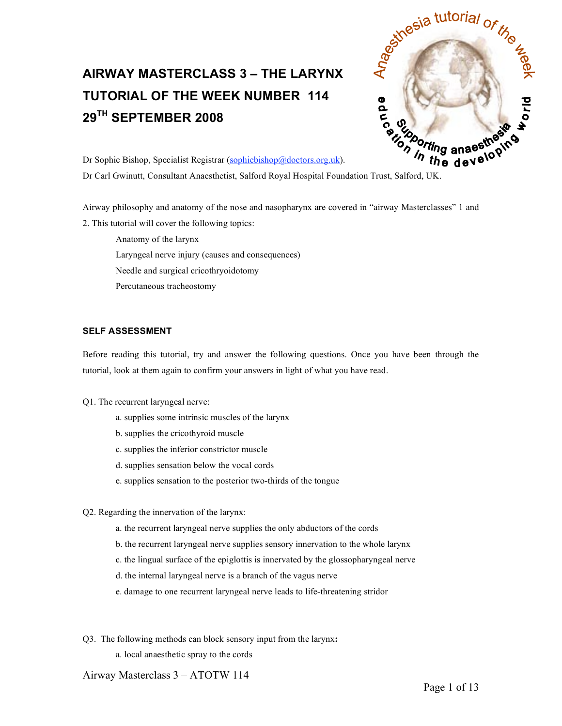# **AIRWAY MASTERCLASS 3 – THE LARYNX TUTORIAL OF THE WEEK NUMBER 114 29TH SEPTEMBER 2008**



Dr Sophie Bishop, Specialist Registrar (sophiebishop@doctors.org.uk).

Airway philosophy and anatomy of the nose and nasopharynx are covered in "airway Masterclasses" 1 and 2. This tutorial will cover the following topics:

Anatomy of the larynx Laryngeal nerve injury (causes and consequences) Needle and surgical cricothryoidotomy Percutaneous tracheostomy

# **SELF ASSESSMENT**

Before reading this tutorial, try and answer the following questions. Once you have been through the tutorial, look at them again to confirm your answers in light of what you have read.

## Q1. The recurrent laryngeal nerve:

- a. supplies some intrinsic muscles of the larynx
- b. supplies the cricothyroid muscle
- c. supplies the inferior constrictor muscle
- d. supplies sensation below the vocal cords
- e. supplies sensation to the posterior two-thirds of the tongue
- Q2. Regarding the innervation of the larynx:
	- a. the recurrent laryngeal nerve supplies the only abductors of the cords
	- b. the recurrent laryngeal nerve supplies sensory innervation to the whole larynx
	- c. the lingual surface of the epiglottis is innervated by the glossopharyngeal nerve
	- d. the internal laryngeal nerve is a branch of the vagus nerve
	- e. damage to one recurrent laryngeal nerve leads to life-threatening stridor
- Q3. The following methods can block sensory input from the larynx**:**
	- a. local anaesthetic spray to the cords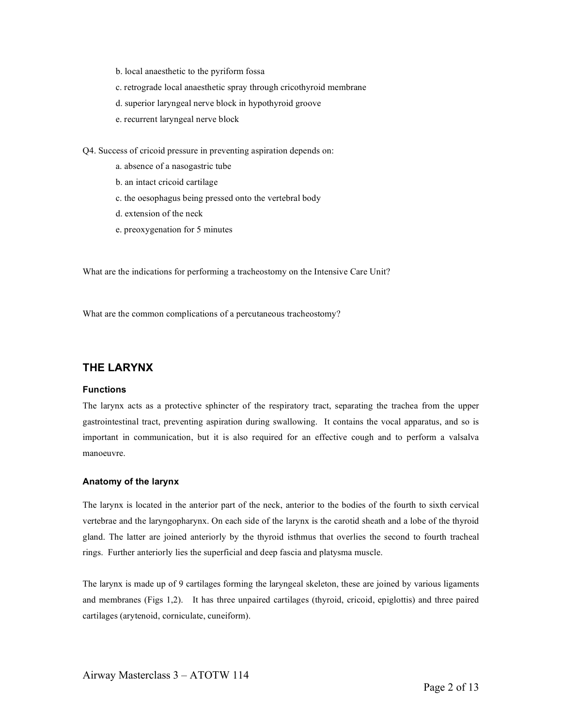- b. local anaesthetic to the pyriform fossa
- c. retrograde local anaesthetic spray through cricothyroid membrane
- d. superior laryngeal nerve block in hypothyroid groove
- e. recurrent laryngeal nerve block

Q4. Success of cricoid pressure in preventing aspiration depends on:

- a. absence of a nasogastric tube
- b. an intact cricoid cartilage
- c. the oesophagus being pressed onto the vertebral body
- d. extension of the neck
- e. preoxygenation for 5 minutes

What are the indications for performing a tracheostomy on the Intensive Care Unit?

What are the common complications of a percutaneous tracheostomy?

# **THE LARYNX**

## **Functions**

The larynx acts as a protective sphincter of the respiratory tract, separating the trachea from the upper gastrointestinal tract, preventing aspiration during swallowing. It contains the vocal apparatus, and so is important in communication, but it is also required for an effective cough and to perform a valsalva manoeuvre.

#### **Anatomy of the larynx**

The larynx is located in the anterior part of the neck, anterior to the bodies of the fourth to sixth cervical vertebrae and the laryngopharynx. On each side of the larynx is the carotid sheath and a lobe of the thyroid gland. The latter are joined anteriorly by the thyroid isthmus that overlies the second to fourth tracheal rings. Further anteriorly lies the superficial and deep fascia and platysma muscle.

The larynx is made up of 9 cartilages forming the laryngeal skeleton, these are joined by various ligaments and membranes (Figs 1,2). It has three unpaired cartilages (thyroid, cricoid, epiglottis) and three paired cartilages (arytenoid, corniculate, cuneiform).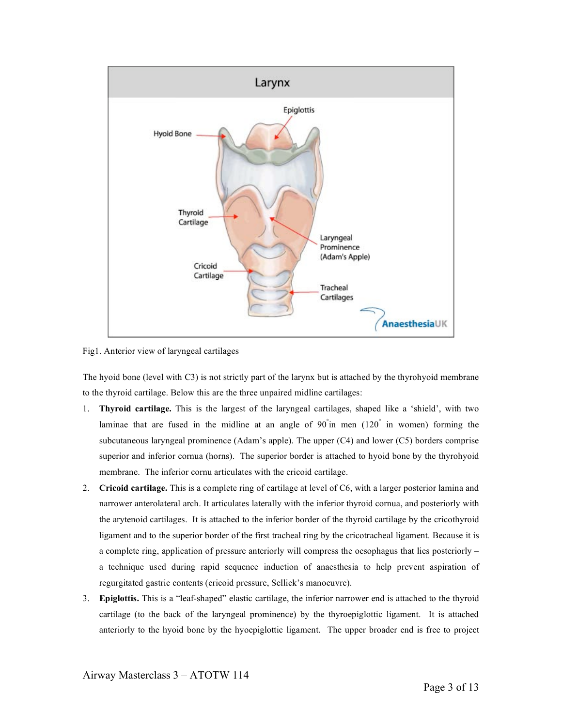

Fig1. Anterior view of laryngeal cartilages

The hyoid bone (level with C3) is not strictly part of the larynx but is attached by the thyrohyoid membrane to the thyroid cartilage. Below this are the three unpaired midline cartilages:

- 1. **Thyroid cartilage.** This is the largest of the laryngeal cartilages, shaped like a 'shield', with two laminae that are fused in the midline at an angle of 90° in men (120° in women) forming the subcutaneous laryngeal prominence (Adam's apple). The upper (C4) and lower (C5) borders comprise superior and inferior cornua (horns). The superior border is attached to hyoid bone by the thyrohyoid membrane. The inferior cornu articulates with the cricoid cartilage.
- 2. **Cricoid cartilage.** This is a complete ring of cartilage at level of C6, with a larger posterior lamina and narrower anterolateral arch. It articulates laterally with the inferior thyroid cornua, and posteriorly with the arytenoid cartilages. It is attached to the inferior border of the thyroid cartilage by the cricothyroid ligament and to the superior border of the first tracheal ring by the cricotracheal ligament. Because it is a complete ring, application of pressure anteriorly will compress the oesophagus that lies posteriorly – a technique used during rapid sequence induction of anaesthesia to help prevent aspiration of regurgitated gastric contents (cricoid pressure, Sellick's manoeuvre).
- 3. **Epiglottis.** This is a "leaf-shaped" elastic cartilage, the inferior narrower end is attached to the thyroid cartilage (to the back of the laryngeal prominence) by the thyroepiglottic ligament. It is attached anteriorly to the hyoid bone by the hyoepiglottic ligament. The upper broader end is free to project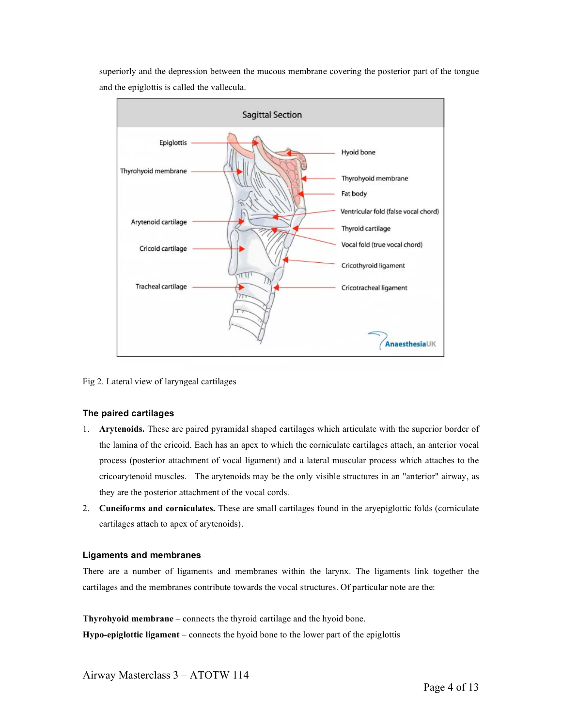superiorly and the depression between the mucous membrane covering the posterior part of the tongue and the epiglottis is called the vallecula.



Fig 2. Lateral view of laryngeal cartilages

# **The paired cartilages**

- 1. **Arytenoids.** These are paired pyramidal shaped cartilages which articulate with the superior border of the lamina of the cricoid. Each has an apex to which the corniculate cartilages attach, an anterior vocal process (posterior attachment of vocal ligament) and a lateral muscular process which attaches to the cricoarytenoid muscles. The arytenoids may be the only visible structures in an "anterior" airway, as they are the posterior attachment of the vocal cords.
- 2. **Cuneiforms and corniculates.** These are small cartilages found in the aryepiglottic folds (corniculate cartilages attach to apex of arytenoids).

# **Ligaments and membranes**

There are a number of ligaments and membranes within the larynx. The ligaments link together the cartilages and the membranes contribute towards the vocal structures. Of particular note are the:

**Thyrohyoid membrane** – connects the thyroid cartilage and the hyoid bone. **Hypo-epiglottic ligament** – connects the hyoid bone to the lower part of the epiglottis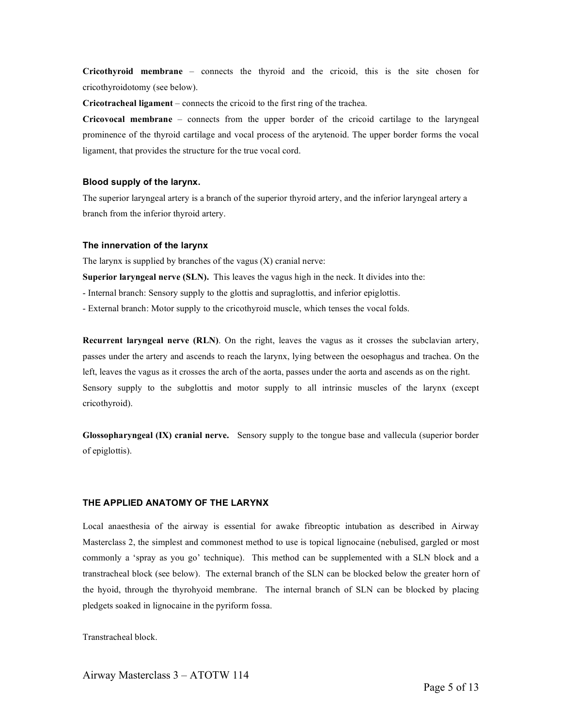**Cricothyroid membrane** – connects the thyroid and the cricoid, this is the site chosen for cricothyroidotomy (see below).

**Cricotracheal ligament** – connects the cricoid to the first ring of the trachea.

**Cricovocal membrane** – connects from the upper border of the cricoid cartilage to the laryngeal prominence of the thyroid cartilage and vocal process of the arytenoid. The upper border forms the vocal ligament, that provides the structure for the true vocal cord.

### **Blood supply of the larynx.**

The superior laryngeal artery is a branch of the superior thyroid artery, and the inferior laryngeal artery a branch from the inferior thyroid artery.

#### **The innervation of the larynx**

The larynx is supplied by branches of the vagus  $(X)$  cranial nerve:

**Superior laryngeal nerve (SLN).** This leaves the vagus high in the neck. It divides into the:

- Internal branch: Sensory supply to the glottis and supraglottis, and inferior epiglottis.

- External branch: Motor supply to the cricothyroid muscle, which tenses the vocal folds.

**Recurrent laryngeal nerve (RLN)**. On the right, leaves the vagus as it crosses the subclavian artery, passes under the artery and ascends to reach the larynx, lying between the oesophagus and trachea. On the left, leaves the vagus as it crosses the arch of the aorta, passes under the aorta and ascends as on the right. Sensory supply to the subglottis and motor supply to all intrinsic muscles of the larynx (except cricothyroid).

**Glossopharyngeal (IX) cranial nerve.** Sensory supply to the tongue base and vallecula (superior border of epiglottis).

## **THE APPLIED ANATOMY OF THE LARYNX**

Local anaesthesia of the airway is essential for awake fibreoptic intubation as described in Airway Masterclass 2, the simplest and commonest method to use is topical lignocaine (nebulised, gargled or most commonly a 'spray as you go' technique). This method can be supplemented with a SLN block and a transtracheal block (see below). The external branch of the SLN can be blocked below the greater horn of the hyoid, through the thyrohyoid membrane. The internal branch of SLN can be blocked by placing pledgets soaked in lignocaine in the pyriform fossa.

Transtracheal block.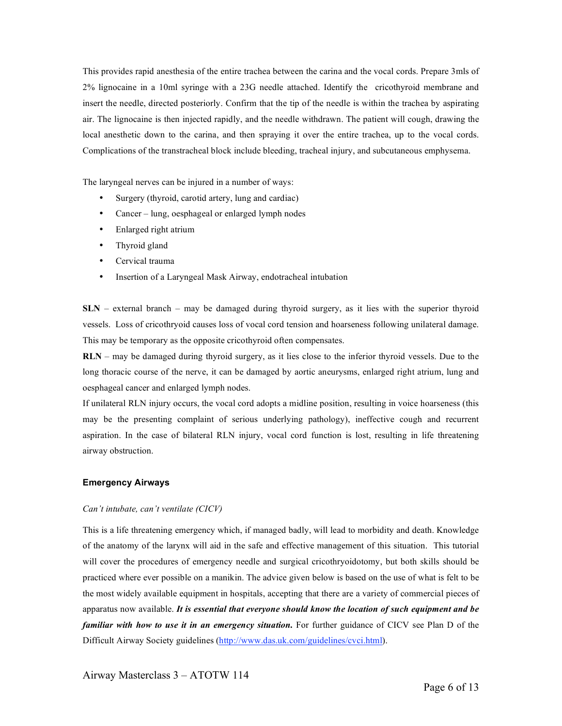This provides rapid anesthesia of the entire trachea between the carina and the vocal cords. Prepare 3mls of 2% lignocaine in a 10ml syringe with a 23G needle attached. Identify the cricothyroid membrane and insert the needle, directed posteriorly. Confirm that the tip of the needle is within the trachea by aspirating air. The lignocaine is then injected rapidly, and the needle withdrawn. The patient will cough, drawing the local anesthetic down to the carina, and then spraying it over the entire trachea, up to the vocal cords. Complications of the transtracheal block include bleeding, tracheal injury, and subcutaneous emphysema.

The laryngeal nerves can be injured in a number of ways:

- Surgery (thyroid, carotid artery, lung and cardiac)
- Cancer lung, oesphageal or enlarged lymph nodes
- Enlarged right atrium
- Thyroid gland
- Cervical trauma
- Insertion of a Laryngeal Mask Airway, endotracheal intubation

**SLN** – external branch – may be damaged during thyroid surgery, as it lies with the superior thyroid vessels. Loss of cricothryoid causes loss of vocal cord tension and hoarseness following unilateral damage. This may be temporary as the opposite cricothyroid often compensates.

**RLN** – may be damaged during thyroid surgery, as it lies close to the inferior thyroid vessels. Due to the long thoracic course of the nerve, it can be damaged by aortic aneurysms, enlarged right atrium, lung and oesphageal cancer and enlarged lymph nodes.

If unilateral RLN injury occurs, the vocal cord adopts a midline position, resulting in voice hoarseness (this may be the presenting complaint of serious underlying pathology), ineffective cough and recurrent aspiration. In the case of bilateral RLN injury, vocal cord function is lost, resulting in life threatening airway obstruction.

#### **Emergency Airways**

#### *Can't intubate, can't ventilate (CICV)*

This is a life threatening emergency which, if managed badly, will lead to morbidity and death. Knowledge of the anatomy of the larynx will aid in the safe and effective management of this situation. This tutorial will cover the procedures of emergency needle and surgical cricothryoidotomy, but both skills should be practiced where ever possible on a manikin. The advice given below is based on the use of what is felt to be the most widely available equipment in hospitals, accepting that there are a variety of commercial pieces of apparatus now available. *It is essential that everyone should know the location of such equipment and be familiar with how to use it in an emergency situation.* For further guidance of CICV see Plan D of the Difficult Airway Society guidelines (http://www.das.uk.com/guidelines/cvci.html).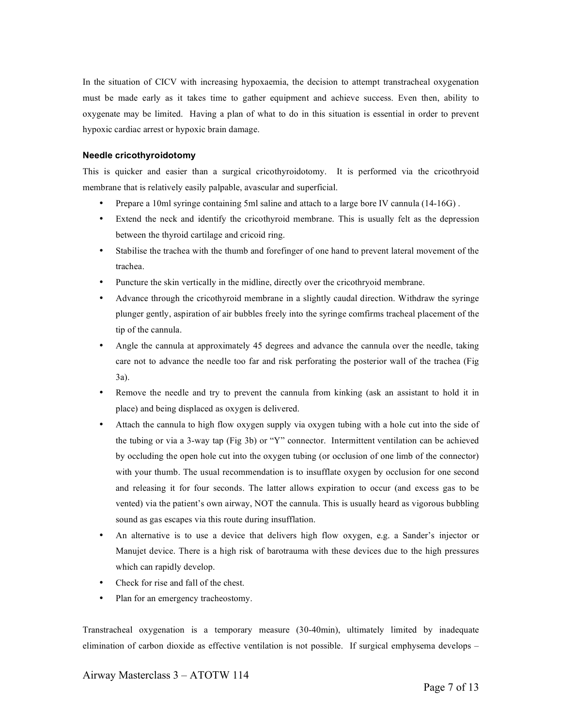In the situation of CICV with increasing hypoxaemia, the decision to attempt transtracheal oxygenation must be made early as it takes time to gather equipment and achieve success. Even then, ability to oxygenate may be limited. Having a plan of what to do in this situation is essential in order to prevent hypoxic cardiac arrest or hypoxic brain damage.

### **Needle cricothyroidotomy**

This is quicker and easier than a surgical cricothyroidotomy. It is performed via the cricothryoid membrane that is relatively easily palpable, avascular and superficial.

- Prepare a 10ml syringe containing 5ml saline and attach to a large bore IV cannula (14-16G) .
- Extend the neck and identify the cricothyroid membrane. This is usually felt as the depression between the thyroid cartilage and cricoid ring.
- Stabilise the trachea with the thumb and forefinger of one hand to prevent lateral movement of the trachea.
- Puncture the skin vertically in the midline, directly over the cricothryoid membrane.
- Advance through the cricothyroid membrane in a slightly caudal direction. Withdraw the syringe plunger gently, aspiration of air bubbles freely into the syringe comfirms tracheal placement of the tip of the cannula.
- Angle the cannula at approximately 45 degrees and advance the cannula over the needle, taking care not to advance the needle too far and risk perforating the posterior wall of the trachea (Fig 3a).
- Remove the needle and try to prevent the cannula from kinking (ask an assistant to hold it in place) and being displaced as oxygen is delivered.
- Attach the cannula to high flow oxygen supply via oxygen tubing with a hole cut into the side of the tubing or via a 3-way tap (Fig 3b) or "Y" connector. Intermittent ventilation can be achieved by occluding the open hole cut into the oxygen tubing (or occlusion of one limb of the connector) with your thumb. The usual recommendation is to insufflate oxygen by occlusion for one second and releasing it for four seconds. The latter allows expiration to occur (and excess gas to be vented) via the patient's own airway, NOT the cannula. This is usually heard as vigorous bubbling sound as gas escapes via this route during insufflation.
- An alternative is to use a device that delivers high flow oxygen, e.g. a Sander's injector or Manujet device. There is a high risk of barotrauma with these devices due to the high pressures which can rapidly develop.
- Check for rise and fall of the chest.
- Plan for an emergency tracheostomy.

Transtracheal oxygenation is a temporary measure (30-40min), ultimately limited by inadequate elimination of carbon dioxide as effective ventilation is not possible. If surgical emphysema develops –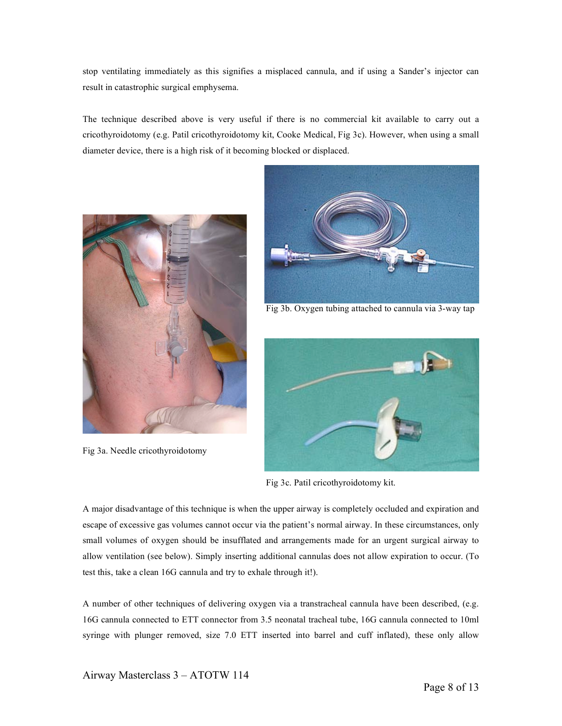stop ventilating immediately as this signifies a misplaced cannula, and if using a Sander's injector can result in catastrophic surgical emphysema.

The technique described above is very useful if there is no commercial kit available to carry out a cricothyroidotomy (e.g. Patil cricothyroidotomy kit, Cooke Medical, Fig 3c). However, when using a small diameter device, there is a high risk of it becoming blocked or displaced.



Fig 3a. Needle cricothyroidotomy



Fig 3b. Oxygen tubing attached to cannula via 3-way tap



Fig 3c. Patil cricothyroidotomy kit.

A major disadvantage of this technique is when the upper airway is completely occluded and expiration and escape of excessive gas volumes cannot occur via the patient's normal airway. In these circumstances, only small volumes of oxygen should be insufflated and arrangements made for an urgent surgical airway to allow ventilation (see below). Simply inserting additional cannulas does not allow expiration to occur. (To test this, take a clean 16G cannula and try to exhale through it!).

A number of other techniques of delivering oxygen via a transtracheal cannula have been described, (e.g. 16G cannula connected to ETT connector from 3.5 neonatal tracheal tube, 16G cannula connected to 10ml syringe with plunger removed, size 7.0 ETT inserted into barrel and cuff inflated), these only allow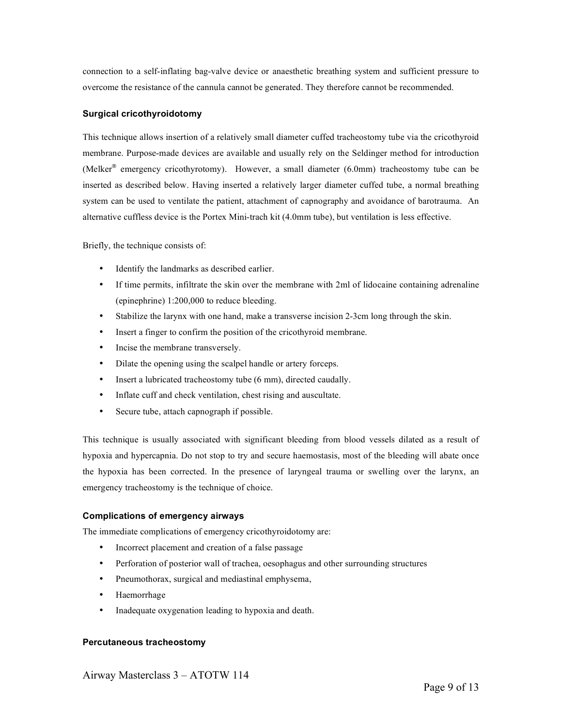connection to a self-inflating bag-valve device or anaesthetic breathing system and sufficient pressure to overcome the resistance of the cannula cannot be generated. They therefore cannot be recommended.

# **Surgical cricothyroidotomy**

This technique allows insertion of a relatively small diameter cuffed tracheostomy tube via the cricothyroid membrane. Purpose-made devices are available and usually rely on the Seldinger method for introduction (Melker® emergency cricothyrotomy). However, a small diameter (6.0mm) tracheostomy tube can be inserted as described below. Having inserted a relatively larger diameter cuffed tube, a normal breathing system can be used to ventilate the patient, attachment of capnography and avoidance of barotrauma. An alternative cuffless device is the Portex Mini-trach kit (4.0mm tube), but ventilation is less effective.

Briefly, the technique consists of:

- Identify the landmarks as described earlier.
- If time permits, infiltrate the skin over the membrane with 2ml of lidocaine containing adrenaline (epinephrine) 1:200,000 to reduce bleeding.
- Stabilize the larynx with one hand, make a transverse incision 2-3cm long through the skin.
- Insert a finger to confirm the position of the cricothyroid membrane.
- Incise the membrane transversely.
- Dilate the opening using the scalpel handle or artery forceps.
- Insert a lubricated tracheostomy tube (6 mm), directed caudally.
- Inflate cuff and check ventilation, chest rising and auscultate.
- Secure tube, attach capnograph if possible.

This technique is usually associated with significant bleeding from blood vessels dilated as a result of hypoxia and hypercapnia. Do not stop to try and secure haemostasis, most of the bleeding will abate once the hypoxia has been corrected. In the presence of laryngeal trauma or swelling over the larynx, an emergency tracheostomy is the technique of choice.

## **Complications of emergency airways**

The immediate complications of emergency cricothyroidotomy are:

- Incorrect placement and creation of a false passage
- Perforation of posterior wall of trachea, oesophagus and other surrounding structures
- Pneumothorax, surgical and mediastinal emphysema,
- Haemorrhage
- Inadequate oxygenation leading to hypoxia and death.

## **Percutaneous tracheostomy**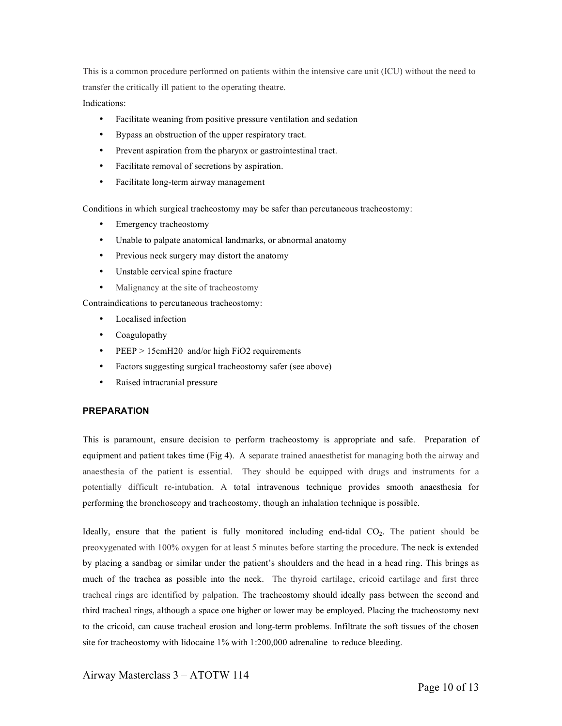This is a common procedure performed on patients within the intensive care unit (ICU) without the need to transfer the critically ill patient to the operating theatre.

Indications:

- Facilitate weaning from positive pressure ventilation and sedation
- Bypass an obstruction of the upper respiratory tract.
- Prevent aspiration from the pharynx or gastrointestinal tract.
- Facilitate removal of secretions by aspiration.
- Facilitate long-term airway management

Conditions in which surgical tracheostomy may be safer than percutaneous tracheostomy:

- Emergency tracheostomy
- Unable to palpate anatomical landmarks, or abnormal anatomy
- Previous neck surgery may distort the anatomy
- Unstable cervical spine fracture
- Malignancy at the site of tracheostomy

Contraindications to percutaneous tracheostomy:

- Localised infection
- Coagulopathy
- PEEP > 15cmH20 and/or high FiO2 requirements
- Factors suggesting surgical tracheostomy safer (see above)
- Raised intracranial pressure

## **PREPARATION**

This is paramount, ensure decision to perform tracheostomy is appropriate and safe. Preparation of equipment and patient takes time (Fig 4). A separate trained anaesthetist for managing both the airway and anaesthesia of the patient is essential. They should be equipped with drugs and instruments for a potentially difficult re-intubation. A total intravenous technique provides smooth anaesthesia for performing the bronchoscopy and tracheostomy, though an inhalation technique is possible.

Ideally, ensure that the patient is fully monitored including end-tidal  $CO<sub>2</sub>$ . The patient should be preoxygenated with 100% oxygen for at least 5 minutes before starting the procedure. The neck is extended by placing a sandbag or similar under the patient's shoulders and the head in a head ring. This brings as much of the trachea as possible into the neck. The thyroid cartilage, cricoid cartilage and first three tracheal rings are identified by palpation. The tracheostomy should ideally pass between the second and third tracheal rings, although a space one higher or lower may be employed. Placing the tracheostomy next to the cricoid, can cause tracheal erosion and long-term problems. Infiltrate the soft tissues of the chosen site for tracheostomy with lidocaine 1% with 1:200,000 adrenaline to reduce bleeding.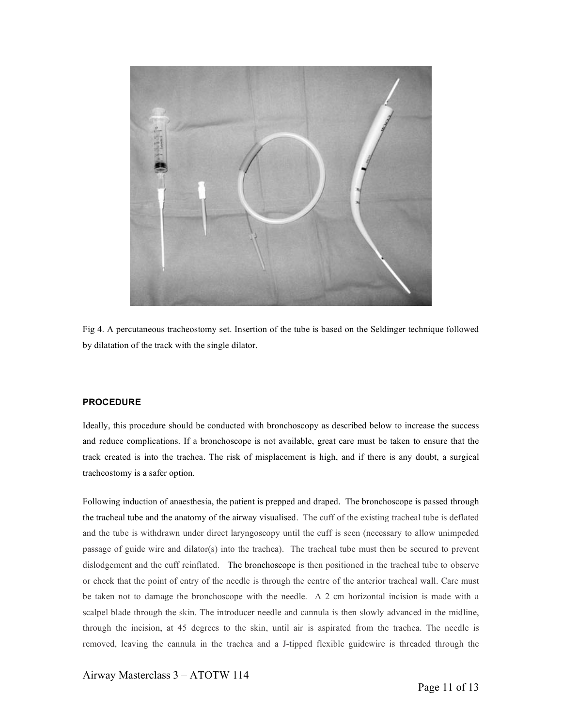

Fig 4. A percutaneous tracheostomy set. Insertion of the tube is based on the Seldinger technique followed by dilatation of the track with the single dilator.

#### **PROCEDURE**

Ideally, this procedure should be conducted with bronchoscopy as described below to increase the success and reduce complications. If a bronchoscope is not available, great care must be taken to ensure that the track created is into the trachea. The risk of misplacement is high, and if there is any doubt, a surgical tracheostomy is a safer option.

Following induction of anaesthesia, the patient is prepped and draped. The bronchoscope is passed through the tracheal tube and the anatomy of the airway visualised. The cuff of the existing tracheal tube is deflated and the tube is withdrawn under direct laryngoscopy until the cuff is seen (necessary to allow unimpeded passage of guide wire and dilator(s) into the trachea). The tracheal tube must then be secured to prevent dislodgement and the cuff reinflated. The bronchoscope is then positioned in the tracheal tube to observe or check that the point of entry of the needle is through the centre of the anterior tracheal wall. Care must be taken not to damage the bronchoscope with the needle. A 2 cm horizontal incision is made with a scalpel blade through the skin. The introducer needle and cannula is then slowly advanced in the midline, through the incision, at 45 degrees to the skin, until air is aspirated from the trachea. The needle is removed, leaving the cannula in the trachea and a J-tipped flexible guidewire is threaded through the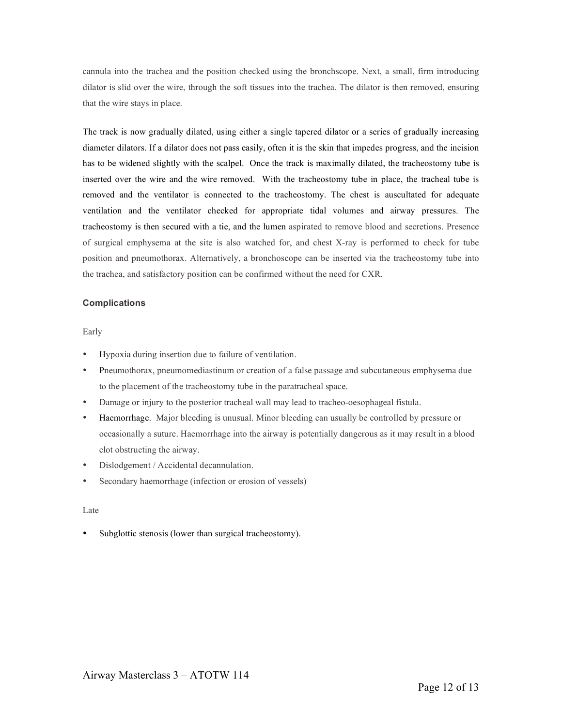cannula into the trachea and the position checked using the bronchscope. Next, a small, firm introducing dilator is slid over the wire, through the soft tissues into the trachea. The dilator is then removed, ensuring that the wire stays in place.

The track is now gradually dilated, using either a single tapered dilator or a series of gradually increasing diameter dilators. If a dilator does not pass easily, often it is the skin that impedes progress, and the incision has to be widened slightly with the scalpel. Once the track is maximally dilated, the tracheostomy tube is inserted over the wire and the wire removed. With the tracheostomy tube in place, the tracheal tube is removed and the ventilator is connected to the tracheostomy. The chest is auscultated for adequate ventilation and the ventilator checked for appropriate tidal volumes and airway pressures. The tracheostomy is then secured with a tie, and the lumen aspirated to remove blood and secretions. Presence of surgical emphysema at the site is also watched for, and chest X-ray is performed to check for tube position and pneumothorax. Alternatively, a bronchoscope can be inserted via the tracheostomy tube into the trachea, and satisfactory position can be confirmed without the need for CXR.

#### **Complications**

#### Early

- Hypoxia during insertion due to failure of ventilation.
- Pneumothorax, pneumomediastinum or creation of a false passage and subcutaneous emphysema due to the placement of the tracheostomy tube in the paratracheal space.
- Damage or injury to the posterior tracheal wall may lead to tracheo-oesophageal fistula.
- Haemorrhage. Major bleeding is unusual. Minor bleeding can usually be controlled by pressure or occasionally a suture. Haemorrhage into the airway is potentially dangerous as it may result in a blood clot obstructing the airway.
- Dislodgement / Accidental decannulation.
- Secondary haemorrhage (infection or erosion of vessels)

#### Late

Subglottic stenosis (lower than surgical tracheostomy).